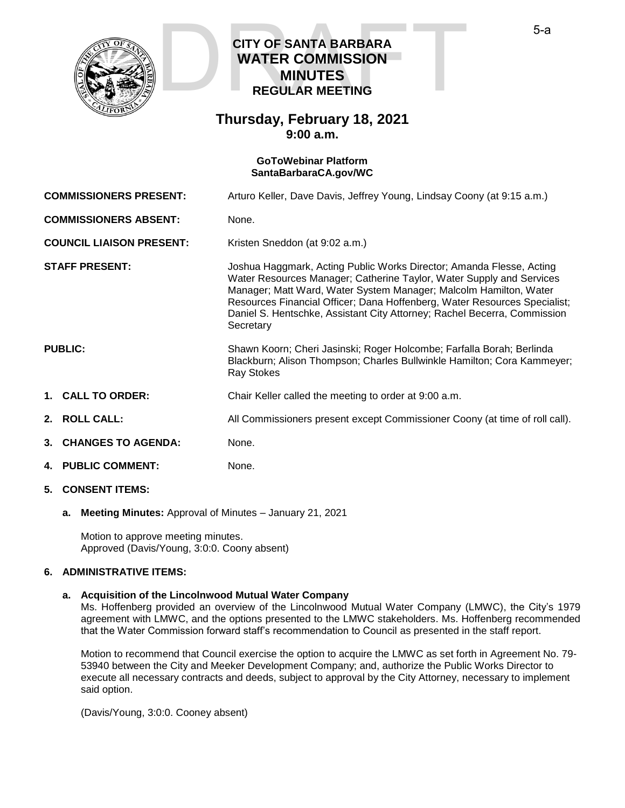

# **CITY OF SANTA BARBARA WATER COMMISSION MINUTES REGULAR MEETING CITY OF SANTA BARBARA<br>WATER COMMISSION<br>MINUTES<br>REGULAR MEETING**

## **Thursday, February 18, 2021 9:00 a.m.**

#### **GoToWebinar Platform [SantaBarbaraCA.gov/WC](https://www.santabarbaraca.gov/gov/brdcomm/nz/water/agendas.asp)**

**COMMISSIONERS PRESENT:** Arturo Keller, Dave Davis, Jeffrey Young, Lindsay Coony (at 9:15 a.m.)

**COMMISSIONERS ABSENT:** None.

**COUNCIL LIAISON PRESENT:** Kristen Sneddon (at 9:02 a.m.)

**STAFF PRESENT:** Joshua Haggmark, Acting Public Works Director; Amanda Flesse, Acting Water Resources Manager; Catherine Taylor, Water Supply and Services Manager; Matt Ward, Water System Manager; Malcolm Hamilton, Water Resources Financial Officer; Dana Hoffenberg, Water Resources Specialist; Daniel S. Hentschke, Assistant City Attorney; Rachel Becerra, Commission **Secretary** 

Blackburn; Alison Thompson; Charles Bullwinkle Hamilton; Cora Kammeyer;

### **PUBLIC:** Shawn Koorn; Cheri Jasinski; Roger Holcombe; Farfalla Borah; Berlinda

**1. CALL TO ORDER:** Chair Keller called the meeting to order at 9:00 a.m.

Ray Stokes

- **2. ROLL CALL:** All Commissioners present except Commissioner Coony (at time of roll call).
- **3. CHANGES TO AGENDA:** None.
- **4. PUBLIC COMMENT:** None.
- **5. CONSENT ITEMS:**
	- **a. Meeting Minutes:** Approval of Minutes January 21, 2021

Motion to approve meeting minutes. Approved (Davis/Young, 3:0:0. Coony absent)

#### **6. ADMINISTRATIVE ITEMS:**

#### **a. Acquisition of the Lincolnwood Mutual Water Company**

Ms. Hoffenberg provided an overview of the Lincolnwood Mutual Water Company (LMWC), the City's 1979 agreement with LMWC, and the options presented to the LMWC stakeholders. Ms. Hoffenberg recommended that the Water Commission forward staff's recommendation to Council as presented in the staff report.

Motion to recommend that Council exercise the option to acquire the LMWC as set forth in Agreement No. 79- 53940 between the City and Meeker Development Company; and, authorize the Public Works Director to execute all necessary contracts and deeds, subject to approval by the City Attorney, necessary to implement said option.

(Davis/Young, 3:0:0. Cooney absent)